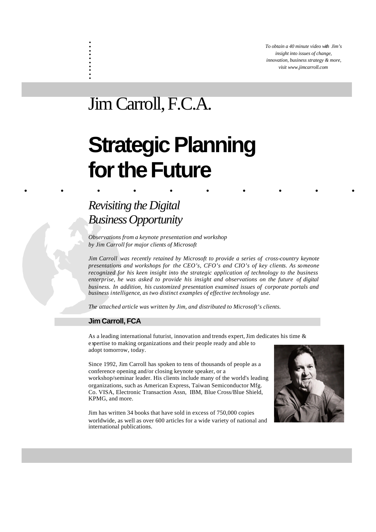*To obtain a 40 minute video with Jim's insight into issues of change, innovation, business strategy & more, visit www.jimcarroll.com*

## Jim Carroll, F.C.A.

. . . . . . . . . .

# ......... . **Strategic Planning for the Future**

### *Revisiting the Digital Business Opportunity*

*Observations from a keynote presentation and workshop by Jim Carroll for major clients of Microsoft*

*Jim Carroll was recently retained by Microsoft to provide a series of cross-country keynote presentations and workshops for the CEO's, CFO's and CIO's of key clients. As someone recognized for his keen insight into the strategic application of technology to the business enterprise, he was asked to provide his insight and observations on the future of digital business. In addition, his customized presentation examined issues of corporate portals and business intelligence, as two distinct examples of effective technology use.*

*The attached article was written by Jim, and distributed to Microsoft's clients.* 

#### **Jim Carroll, FCA**

As a leading international futurist, innovation and trends expert, Jim dedicates his time & expertise to making organizations and their people ready and able to adopt tomorrow, today.

Since 1992, Jim Carroll has spoken to tens of thousands of people as a conference opening and/or closing keynote speaker, or a workshop/seminar leader. His clients include many of the world's leading organizations, such as American Express, Taiwan Semiconductor Mfg. Co. VISA, Electronic Transaction Assn, IBM, Blue Cross/Blue Shield, KPMG, and more.

Jim has written 34 books that have sold in excess of 750,000 copies worldwide, as well as over 600 articles for a wide variety of national and international publications.

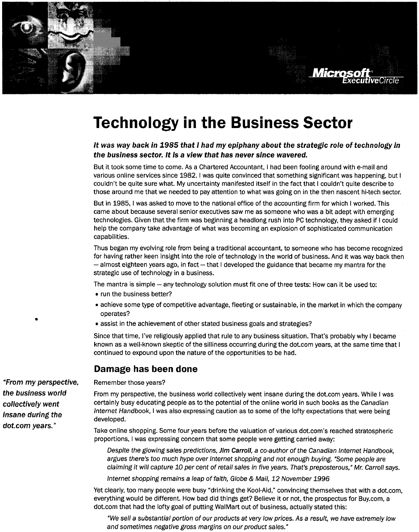## **Technology in the Business Sector**

#### It was way back in 1985 that I had my epiphany about the strategic role of technology in the business sector. It is a view that has never since wavered.

**Micros** 

an iveokole

But it took some time to come. As a Chartered Accountant, I had been fooling around with e-mail and various online services since 1982. I was quite convinced that something significant was happening, but I couldn't be quite sure what. My uncertainty manifested itself in the fact that I couldn't quite describe to those around me that we needed to pay attention to what was going on in the then nascent hi-tech sector.

But in 1985, I was asked to move to the national office of the accounting firm for which I worked. This came about because several senior executives saw me as someone who was a bit adept with emerging technologies. Given that the firm was beginning a headlong rush into PC technology, they asked if I could help the company take advantage of what was becoming an explosion of sophisticated communication capabilities.

Thus began my evolving role from being a traditional accountant, to someone who has become recognized for having rather keen insight into the role of technology in the world of business. And it was way back then - almost eighteen years ago, in fact - that I developed the guidance that became my mantra for the strategic use of technology in a business.

The mantra is simple – any technology solution must fit one of three tests: How can it be used to:

- run the business better?
- achieve some type of competitive advantage, fleeting or sustainable, in the market in which the company operates?
- assist in the achievement of other stated business goals and strategies?

Since that time, I've religiously applied that rule to any business situation. That's probably why I became known as a well-known skeptic of the silliness occurring during the dot.com years, at the same time that I continued to expound upon the nature of the opportunities to be had.

#### Damage has been done

Remember those years?

From my perspective, the business world collectively went insane during the dot.com years. While I was certainly busy educating people as to the potential of the online world in such books as the Canadian Internet Handbook, I was also expressing caution as to some of the lofty expectations that were being developed.

Take online shopping. Some four years before the valuation of various dot.com's reached stratospheric proportions, I was expressing concern that some people were getting carried away:

Despite the glowing sales predictions, Jim Carroll, a co-author of the Canadian Internet Handbook, argues there's too much hype over Internet shopping and not enough buying. "Some people are claiming it will capture 10 per cent of retail sales in five years. That's preposterous," Mr. Carroll says.

Internet shopping remains a leap of faith, Globe & Mail, 12 November 1996

Yet clearly, too many people were busy "drinking the Kool-Aid," convincing themselves that with a dot.com, everything would be different. How bad did things get? Believe it or not, the prospectus for Buy.com, a dot.com that had the lofty goal of putting WalMart out of business, actually stated this:

"We sell a substantial portion of our products at very low prices. As a result, we have extremely low and sometimes negative gross margins on our product sales."

"From my perspective, the business world collectively went Insane during the dot.com years."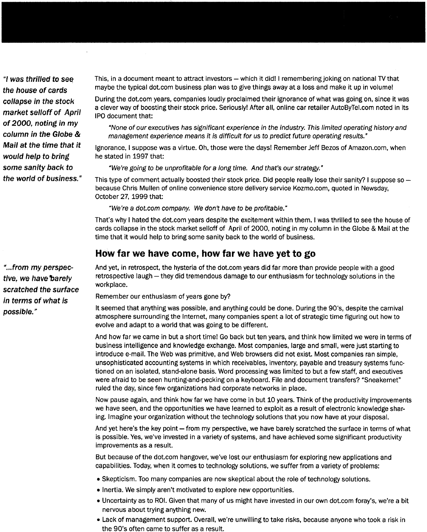"I was thrilled to see the house of cards collapse in the stock market selloff of April of 2000, noting in my column in the Globe & Mail at the time that it would help to bring some sanity back to the world of business." This, in a document meant to attract investors – which it did! I remembering joking on national TV that maybe the typical dot.com business plan was to give things away at a loss and make it up in volume!

During the dot.com years, companies loudly proclaimed their ignorance of what was going on, since it was a clever way of boosting their stock price. Seriously! After all, online car retailer AutoByTel.com noted in its IPO document that:

"None of our executives has significant experience in the industry. This limited operating history and management experience means it is difficult for us to predict future operating results."

Ignorance, I suppose was a virtue. Oh, those were the days! Remember Jeff Bezos of Amazon.com, when he stated in 1997 that:

"We're going to be unprofitable for a long time. And that's our strategy."

This type of comment actually boosted their stock price. Did people really lose their sanity? I suppose so because Chris Mullen of online convenience store delivery service Kozmo.com, quoted in Newsday, October 27, 1999 that:

"We're a dot.com company. We don't have to be profitable."

That's why I hated the dot.com years despite the excitement within them. I was thrilled to see the house of cards collapse in the stock market selloff of April of 2000, noting in my column in the Globe & Mail at the time that it would help to bring some sanity back to the world of business.

#### How far we have come, how far we have yet to go

And yet, in retrospect, the hysteria of the dot.com years did far more than provide people with a good retrospective laugh - they did tremendous damage to our enthusiasm for technology solutions in the workplace.

Remember our enthusiasm of years gone by?

It seemed that anything was possible, and anything could be done. During the 90's, despite the carnival atmosphere surrounding the Internet, many companies spent a lot of strategic time figuring out how to evolve and adapt to a world that was going to be different.

And how far we came in but a short time! Go back but ten years, and think how limited we were in terms of business intelligence and knowledge exchange. Most companies, large and small, were just starting to introduce e-mail. The Web was primitive, and Web browsers did not exist. Most companies ran simple, unsophisticated accounting systems in which receivables, inventory, payable and treasury systems functioned on an isolated, stand-alone basis. Word processing was limited to but a few staff, and executives were afraid to be seen hunting-and-pecking on a keyboard. File and document transfers? "Sneakernet" ruled the day, since few organizations had corporate networks in place.

Now pause again, and think how far we have come in but 10 years. Think of the productivity improvements we have seen, and the opportunities we have learned to exploit as a result of electronic knowledge sharing. Imagine your organization without the technology solutions that you now have at your disposal.

And yet here's the key point – from my perspective, we have barely scratched the surface in terms of what is possible. Yes, we've invested in a variety of systems, and have achieved some significant productivity improvements as a result.

But because of the dot.com hangover, we've lost our enthusiasm for exploring new applications and capabilities. Today, when it comes to technology solutions, we suffer from a variety of problems:

- Skepticism. Too many companies are now skeptical about the role of technology solutions.
- Inertia. We simply aren't motivated to explore new opportunities.
- . Uncertainty as to ROI. Given that many of us might have invested in our own dot.com foray's, we're a bit nervous about trying anything new.
- Lack of management support. Overall, we're unwilling to take risks, because anyone who took a risk in the 90's often came to suffer as a result.

"...from my perspective, we have barely scratched the surface in terms of what is possible."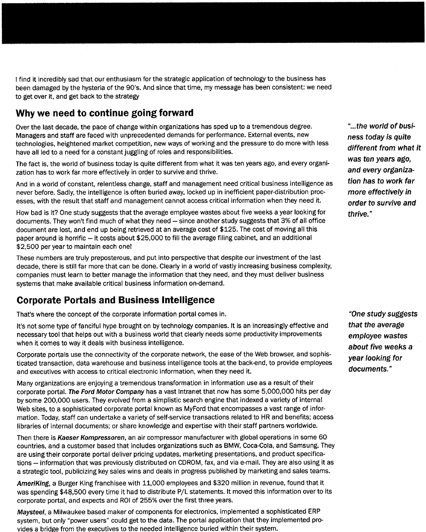I find it incredibly sad that our enthusiasm for the strategic application of technology to the business has been damaged by the hysteria of the 90's. And since that time, my message has been consistent: we need to get over it, and get back to the strategy

#### Why we need to continue going forward

Over the last decade, the pace of change within organizations has sped up to a tremendous degree. Managers and staff are faced with unprecedented demands for performance. External events. new technologies, heightened market competition, new ways of working and the pressure to do more with less have all led to a need for a constant juggling of roles and responsibilities.

The fact is, the world of business today is quite different from what it was ten years ago, and every organization has to work far more effectively in order to survive and thrive.

And in a world of constant, relentless change, staff and management need critical business intelligence as never before. Sadly, the intelligence is often buried away, locked up in inefficient paper-distribution processes, with the result that staff and management cannot access critical information when they need it.

How bad is it? One study suggests that the average employee wastes about five weeks a year looking for documents. They won't find much of what they need - since another study suggests that 3% of all office document are lost, and end up being retrieved at an average cost of \$125. The cost of moving all this paper around is horrific – it costs about \$25,000 to fill the average filing cabinet, and an additional \$2.500 per year to maintain each one!

These numbers are truly preposterous, and put into perspective that despite our investment of the last decade, there is still far more that can be done. Clearly in a world of vastly increasing business complexity, companies must learn to better manage the information that they need, and they must deliver business systems that make available critical business information on-demand.

#### **Corporate Portals and Business Intelligence**

That's where the concept of the corporate information portal comes in.

It's not some type of fanciful hype brought on by technology companies. It is an increasingly effective and necessary tool that helps out with a business world that clearly needs some productivity improvements when it comes to way it deals with business intelligence.

Corporate portals use the connectivity of the corporate network, the ease of the Web browser, and sophisticated transaction, data warehouse and business intelligence tools at the back-end, to provide employees and executives with access to critical electronic information, when they need it.

Many organizations are enjoying a tremendous transformation in information use as a result of their corporate portal. The Ford Motor Company has a vast Intranet that now has some 5,000,000 hits per day by some 200,000 users. They evolved from a simplistic search engine that indexed a variety of internal Web sites, to a sophisticated corporate portal known as MyFord that encompasses a vast range of information. Today, staff can undertake a variety of self-service transactions related to HR and benefits: access libraries of internal documents; or share knowledge and expertise with their staff partners worldwide.

Then there is Kaeser Kompressoren, an air compressor manufacturer with global operations in some 60 countries, and a customer based that includes organizations such as BMW, Coca-Cola, and Samsung. They are using their corporate portal deliver pricing updates, marketing presentations, and product specifications - information that was previously distributed on CDROM, fax, and via e-mail. They are also using it as a strategic tool, publicizing key sales wins and deals in progress published by marketing and sales teams.

AmeriKing, a Burger King franchisee with 11,000 employees and \$320 million in revenue, found that it was spending \$48,500 every time it had to distribute P/L statements. It moved this information over to its corporate portal, and expects and ROI of 255% over the first three years.

Maysteel, a Milwaukee based maker of components for electronics, implemented a sophisticated ERP system, but only "power users" could get to the data. The portal application that they implemented provides a bridge from the executives to the needed intelligence buried within their system.

"...the world of business today is quite different from what it was ten vears ago. and every organization has to work far more effectively in order to survive and thrive."

"One study suggests that the average employee wastes about five weeks a year looking for documents."